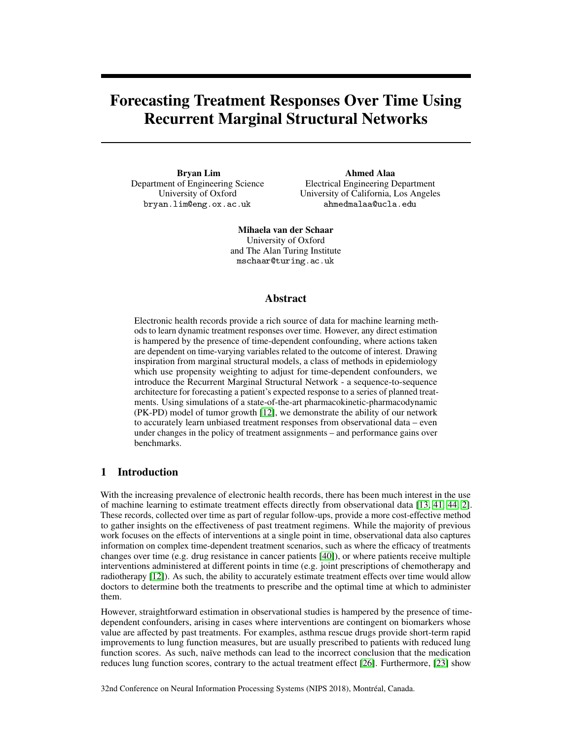## Forecasting Treatment Responses Over Time Using Recurrent Marginal Structural Networks

Bryan Lim Department of Engineering Science University of Oxford bryan.lim@eng.ox.ac.uk

Ahmed Alaa Electrical Engineering Department University of California, Los Angeles ahmedmalaa@ucla.edu

Mihaela van der Schaar University of Oxford and The Alan Turing Institute mschaar@turing.ac.uk

#### Abstract

Electronic health records provide a rich source of data for machine learning methods to learn dynamic treatment responses over time. However, any direct estimation is hampered by the presence of time-dependent confounding, where actions taken are dependent on time-varying variables related to the outcome of interest. Drawing inspiration from marginal structural models, a class of methods in epidemiology which use propensity weighting to adjust for time-dependent confounders, we introduce the Recurrent Marginal Structural Network - a sequence-to-sequence architecture for forecasting a patient's expected response to a series of planned treatments. Using simulations of a state-of-the-art pharmacokinetic-pharmacodynamic (PK-PD) model of tumor growth [\[12\]](#page-9-0), we demonstrate the ability of our network to accurately learn unbiased treatment responses from observational data – even under changes in the policy of treatment assignments – and performance gains over benchmarks.

## 1 Introduction

With the increasing prevalence of electronic health records, there has been much interest in the use of machine learning to estimate treatment effects directly from observational data [\[13,](#page-9-1) [41,](#page-10-0) [44,](#page-10-1) [2\]](#page-9-2). These records, collected over time as part of regular follow-ups, provide a more cost-effective method to gather insights on the effectiveness of past treatment regimens. While the majority of previous work focuses on the effects of interventions at a single point in time, observational data also captures information on complex time-dependent treatment scenarios, such as where the efficacy of treatments changes over time (e.g. drug resistance in cancer patients [\[40\]](#page-10-2)), or where patients receive multiple interventions administered at different points in time (e.g. joint prescriptions of chemotherapy and radiotherapy [\[12\]](#page-9-0)). As such, the ability to accurately estimate treatment effects over time would allow doctors to determine both the treatments to prescribe and the optimal time at which to administer them.

However, straightforward estimation in observational studies is hampered by the presence of timedependent confounders, arising in cases where interventions are contingent on biomarkers whose value are affected by past treatments. For examples, asthma rescue drugs provide short-term rapid improvements to lung function measures, but are usually prescribed to patients with reduced lung function scores. As such, naïve methods can lead to the incorrect conclusion that the medication reduces lung function scores, contrary to the actual treatment effect [\[26\]](#page-10-3). Furthermore, [\[23\]](#page-10-4) show

32nd Conference on Neural Information Processing Systems (NIPS 2018), Montréal, Canada.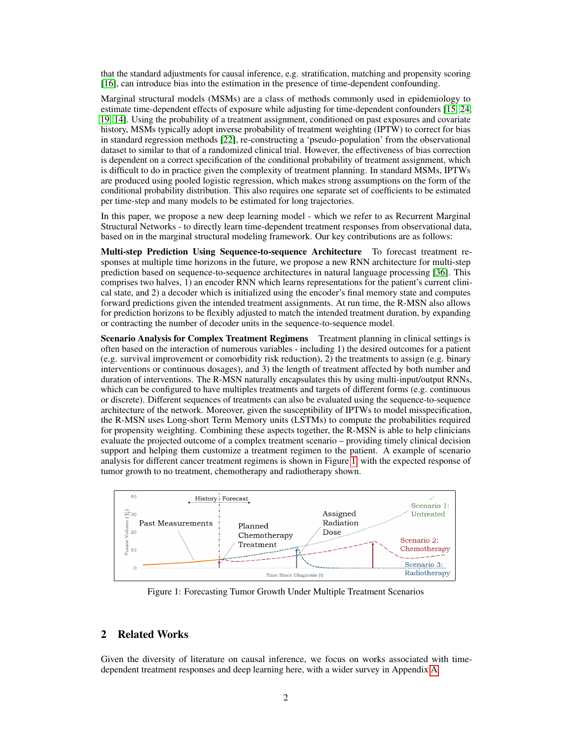that the standard adjustments for causal inference, e.g. stratification, matching and propensity scoring [\[16\]](#page-9-3), can introduce bias into the estimation in the presence of time-dependent confounding.

Marginal structural models (MSMs) are a class of methods commonly used in epidemiology to estimate time-dependent effects of exposure while adjusting for time-dependent confounders [\[15,](#page-9-4) [24,](#page-10-5) [19,](#page-9-5) [14\]](#page-9-6). Using the probability of a treatment assignment, conditioned on past exposures and covariate history, MSMs typically adopt inverse probability of treatment weighting (IPTW) to correct for bias in standard regression methods [\[22\]](#page-9-7), re-constructing a 'pseudo-population' from the observational dataset to similar to that of a randomized clinical trial. However, the effectiveness of bias correction is dependent on a correct specification of the conditional probability of treatment assignment, which is difficult to do in practice given the complexity of treatment planning. In standard MSMs, IPTWs are produced using pooled logistic regression, which makes strong assumptions on the form of the conditional probability distribution. This also requires one separate set of coefficients to be estimated per time-step and many models to be estimated for long trajectories.

In this paper, we propose a new deep learning model - which we refer to as Recurrent Marginal Structural Networks - to directly learn time-dependent treatment responses from observational data, based on in the marginal structural modeling framework. Our key contributions are as follows:

Multi-step Prediction Using Sequence-to-sequence Architecture To forecast treatment responses at multiple time horizons in the future, we propose a new RNN architecture for multi-step prediction based on sequence-to-sequence architectures in natural language processing [\[36\]](#page-10-6). This comprises two halves, 1) an encoder RNN which learns representations for the patient's current clinical state, and 2) a decoder which is initialized using the encoder's final memory state and computes forward predictions given the intended treatment assignments. At run time, the R-MSN also allows for prediction horizons to be flexibly adjusted to match the intended treatment duration, by expanding or contracting the number of decoder units in the sequence-to-sequence model.

Scenario Analysis for Complex Treatment Regimens Treatment planning in clinical settings is often based on the interaction of numerous variables - including 1) the desired outcomes for a patient (e.g. survival improvement or comorbidity risk reduction), 2) the treatments to assign (e.g. binary interventions or continuous dosages), and 3) the length of treatment affected by both number and duration of interventions. The R-MSN naturally encapsulates this by using multi-input/output RNNs, which can be configured to have multiples treatments and targets of different forms (e.g. continuous or discrete). Different sequences of treatments can also be evaluated using the sequence-to-sequence architecture of the network. Moreover, given the susceptibility of IPTWs to model misspecification, the R-MSN uses Long-short Term Memory units (LSTMs) to compute the probabilities required for propensity weighting. Combining these aspects together, the R-MSN is able to help clinicians evaluate the projected outcome of a complex treatment scenario – providing timely clinical decision support and helping them customize a treatment regimen to the patient. A example of scenario analysis for different cancer treatment regimens is shown in Figure [1,](#page-1-0) with the expected response of tumor growth to no treatment, chemotherapy and radiotherapy shown.



<span id="page-1-0"></span>Figure 1: Forecasting Tumor Growth Under Multiple Treatment Scenarios

## 2 Related Works

Given the diversity of literature on causal inference, we focus on works associated with timedependent treatment responses and deep learning here, with a wider survey in Appendix [A.](#page-11-0)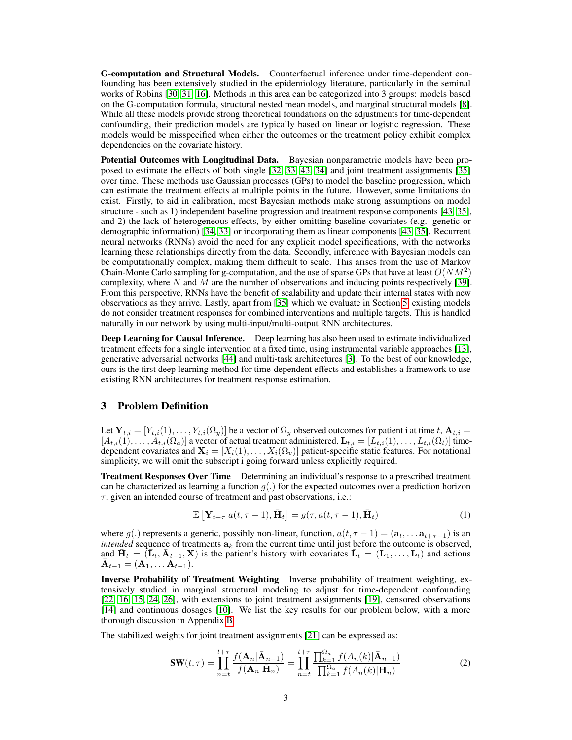G-computation and Structural Models. Counterfactual inference under time-dependent confounding has been extensively studied in the epidemiology literature, particularly in the seminal works of Robins [\[30,](#page-10-7) [31,](#page-10-8) [16\]](#page-9-3). Methods in this area can be categorized into 3 groups: models based on the G-computation formula, structural nested mean models, and marginal structural models [\[8\]](#page-9-8). While all these models provide strong theoretical foundations on the adjustments for time-dependent confounding, their prediction models are typically based on linear or logistic regression. These models would be misspecified when either the outcomes or the treatment policy exhibit complex dependencies on the covariate history.

Potential Outcomes with Longitudinal Data. Bayesian nonparametric models have been proposed to estimate the effects of both single [\[32,](#page-10-9) [33,](#page-10-10) [43,](#page-10-11) [34\]](#page-10-12) and joint treatment assignments [\[35\]](#page-10-13) over time. These methods use Gaussian processes (GPs) to model the baseline progression, which can estimate the treatment effects at multiple points in the future. However, some limitations do exist. Firstly, to aid in calibration, most Bayesian methods make strong assumptions on model structure - such as 1) independent baseline progression and treatment response components [\[43,](#page-10-11) [35\]](#page-10-13), and 2) the lack of heterogeneous effects, by either omitting baseline covariates (e.g. genetic or demographic information) [\[34,](#page-10-12) [33\]](#page-10-10) or incorporating them as linear components [\[43,](#page-10-11) [35\]](#page-10-13). Recurrent neural networks (RNNs) avoid the need for any explicit model specifications, with the networks learning these relationships directly from the data. Secondly, inference with Bayesian models can be computationally complex, making them difficult to scale. This arises from the use of Markov Chain-Monte Carlo sampling for g-computation, and the use of sparse GPs that have at least  $O(NM^2)$ complexity, where  $N$  and  $M$  are the number of observations and inducing points respectively [\[39\]](#page-10-14). From this perspective, RNNs have the benefit of scalability and update their internal states with new observations as they arrive. Lastly, apart from [\[35\]](#page-10-13) which we evaluate in Section [5,](#page-5-0) existing models do not consider treatment responses for combined interventions and multiple targets. This is handled naturally in our network by using multi-input/multi-output RNN architectures.

Deep Learning for Causal Inference. Deep learning has also been used to estimate individualized treatment effects for a single intervention at a fixed time, using instrumental variable approaches [\[13\]](#page-9-1), generative adversarial networks [\[44\]](#page-10-1) and multi-task architectures [\[3\]](#page-9-9). To the best of our knowledge, ours is the first deep learning method for time-dependent effects and establishes a framework to use existing RNN architectures for treatment response estimation.

#### <span id="page-2-1"></span>3 Problem Definition

Let  $\mathbf{Y}_{t,i} = [Y_{t,i}(1), \ldots, Y_{t,i}(\Omega_y)]$  be a vector of  $\Omega_y$  observed outcomes for patient i at time  $t, \mathbf{A}_{t,i} =$  $[A_{t,i}(1), \ldots, A_{t,i}(\Omega_a)]$  a vector of actual treatment administered,  $\mathbf{L}_{t,i} = [L_{t,i}(1), \ldots, L_{t,i}(\Omega_a)]$  timedependent covariates and  $X_i = [X_i(1), \ldots, X_i(\Omega_v)]$  patient-specific static features. For notational simplicity, we will omit the subscript i going forward unless explicitly required.

**Treatment Responses Over Time** Determining an individual's response to a prescribed treatment can be characterized as learning a function  $g(.)$  for the expected outcomes over a prediction horizon  $\tau$ , given an intended course of treatment and past observations, i.e.:

<span id="page-2-2"></span>
$$
\mathbb{E}\left[\mathbf{Y}_{t+\tau}|a(t,\tau-1),\bar{\mathbf{H}}_t\right] = g(\tau,a(t,\tau-1),\bar{\mathbf{H}}_t)
$$
\n(1)

where  $g(.)$  represents a generic, possibly non-linear, function,  $a(t, \tau - 1) = (\mathbf{a}_t, \dots \mathbf{a}_{t+\tau-1})$  is an *intended* sequence of treatments  $a_k$  from the current time until just before the outcome is observed, and  $\bar{\mathbf{H}}_t = (\bar{\mathbf{L}}_t, \bar{\mathbf{A}}_{t-1}, \mathbf{X})$  is the patient's history with covariates  $\bar{\mathbf{L}}_t = (\mathbf{L}_1, \dots, \mathbf{L}_t)$  and actions  $\bar{\mathbf{A}}_{t-1} = (\mathbf{A}_1, \dots, \mathbf{A}_{t-1}).$ 

Inverse Probability of Treatment Weighting Inverse probability of treatment weighting, extensively studied in marginal structural modeling to adjust for time-dependent confounding [\[22,](#page-9-7) [16,](#page-9-3) [15,](#page-9-4) [24,](#page-10-5) [26\]](#page-10-3), with extensions to joint treatment assignments [\[19\]](#page-9-5), censored observations [\[14\]](#page-9-6) and continuous dosages [\[10\]](#page-9-10). We list the key results for our problem below, with a more thorough discussion in Appendix [B.](#page-11-1)

The stabilized weights for joint treatment assignments [\[21\]](#page-9-11) can be expressed as:

<span id="page-2-0"></span>
$$
\mathbf{SW}(t,\tau) = \prod_{n=t}^{t+\tau} \frac{f(\mathbf{A}_n | \bar{\mathbf{A}}_{n-1})}{f(\mathbf{A}_n | \bar{\mathbf{H}}_n)} = \prod_{n=t}^{t+\tau} \frac{\prod_{k=1}^{\Omega_a} f(A_n(k) | \bar{\mathbf{A}}_{n-1})}{\prod_{k=1}^{\Omega_a} f(A_n(k) | \bar{\mathbf{H}}_n)}
$$
(2)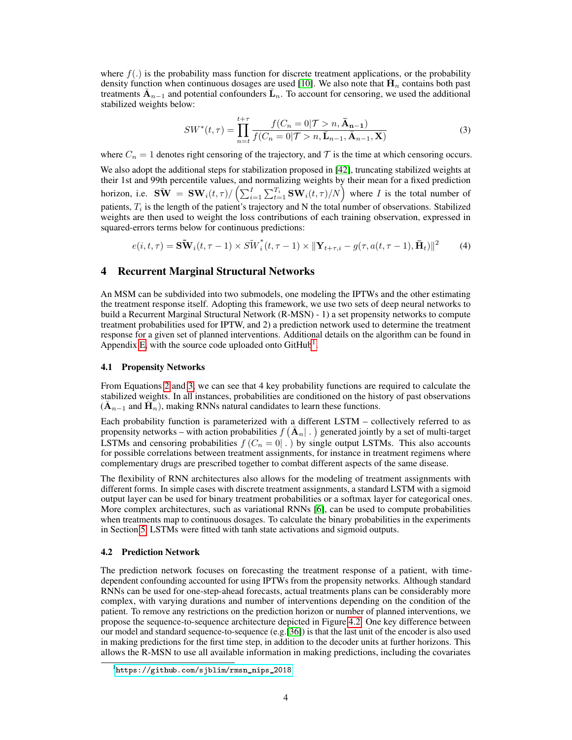where  $f(.)$  is the probability mass function for discrete treatment applications, or the probability density function when continuous dosages are used [\[10\]](#page-9-10). We also note that  $\overline{H}_n$  contains both past treatments  $\bar{A}_{n-1}$  and potential confounders  $\bar{L}_n$ . To account for censoring, we used the additional stabilized weights below:

<span id="page-3-4"></span><span id="page-3-1"></span>
$$
SW^*(t,\tau) = \prod_{n=t}^{t+\tau} \frac{f(C_n = 0|\mathcal{T} > n, \bar{\mathbf{A}}_{n-1})}{f(C_n = 0|\mathcal{T} > n, \bar{\mathbf{L}}_{n-1}, \bar{\mathbf{A}}_{n-1}, \mathbf{X})}
$$
(3)

where  $C_n = 1$  denotes right censoring of the trajectory, and T is the time at which censoring occurs.

We also adopt the additional steps for stabilization proposed in [\[42\]](#page-10-15), truncating stabilized weights at their 1st and 99th percentile values, and normalizing weights by their mean for a fixed prediction horizon, i.e.  $\widetilde{\mathbf{SW}} = \mathbf{SW}_i(t,\tau) / \left( \sum_{i=1}^{I} \sum_{t=1}^{T_i} \mathbf{SW}_i(t,\tau) / N \right)$  where *I* is the total number of patients,  $T_i$  is the length of the patient's trajectory and N the total number of observations. Stabilized weights are then used to weight the loss contributions of each training observation, expressed in squared-errors terms below for continuous predictions:

$$
e(i, t, \tau) = \mathbf{S}\mathbf{\tilde{W}}_i(t, \tau - 1) \times S\mathbf{\tilde{W}}_i^*(t, \tau - 1) \times ||\mathbf{Y}_{t + \tau, i} - g(\tau, a(t, \tau - 1), \mathbf{\bar{H}}_t)||^2 \tag{4}
$$

#### <span id="page-3-3"></span>4 Recurrent Marginal Structural Networks

An MSM can be subdivided into two submodels, one modeling the IPTWs and the other estimating the treatment response itself. Adopting this framework, we use two sets of deep neural networks to build a Recurrent Marginal Structural Network (R-MSN) - 1) a set propensity networks to compute treatment probabilities used for IPTW, and 2) a prediction network used to determine the treatment response for a given set of planned interventions. Additional details on the algorithm can be found in Appendix [E,](#page-13-0) with the source code uploaded onto GitHub<sup>[1](#page-3-0)</sup>.

#### 4.1 Propensity Networks

From Equations [2](#page-2-0) and [3,](#page-3-1) we can see that 4 key probability functions are required to calculate the stabilized weights. In all instances, probabilities are conditioned on the history of past observations  $(\bar{A}_{n-1}$  and  $\tilde{H}_n$ ), making RNNs natural candidates to learn these functions.

Each probability function is parameterized with a different LSTM – collectively referred to as propensity networks – with action probabilities  $f(\bar{A}_n | .)$  generated jointly by a set of multi-target LSTMs and censoring probabilities  $f(C_n = 0 \mid .)$  by single output LSTMs. This also accounts for possible correlations between treatment assignments, for instance in treatment regimens where complementary drugs are prescribed together to combat different aspects of the same disease.

The flexibility of RNN architectures also allows for the modeling of treatment assignments with different forms. In simple cases with discrete treatment assignments, a standard LSTM with a sigmoid output layer can be used for binary treatment probabilities or a softmax layer for categorical ones. More complex architectures, such as variational RNNs [\[6\]](#page-9-12), can be used to compute probabilities when treatments map to continuous dosages. To calculate the binary probabilities in the experiments in Section [5,](#page-5-0) LSTMs were fitted with tanh state activations and sigmoid outputs.

#### <span id="page-3-2"></span>4.2 Prediction Network

The prediction network focuses on forecasting the treatment response of a patient, with timedependent confounding accounted for using IPTWs from the propensity networks. Although standard RNNs can be used for one-step-ahead forecasts, actual treatments plans can be considerably more complex, with varying durations and number of interventions depending on the condition of the patient. To remove any restrictions on the prediction horizon or number of planned interventions, we propose the sequence-to-sequence architecture depicted in Figure [4.2.](#page-3-2) One key difference between our model and standard sequence-to-sequence (e.g.[\[36\]](#page-10-6)) is that the last unit of the encoder is also used in making predictions for the first time step, in addition to the decoder units at further horizons. This allows the R-MSN to use all available information in making predictions, including the covariates

<span id="page-3-0"></span><sup>1</sup> [https://github.com/sjblim/rmsn\\_nips\\_2018](https://github.com/sjblim/rmsn_nips_2018)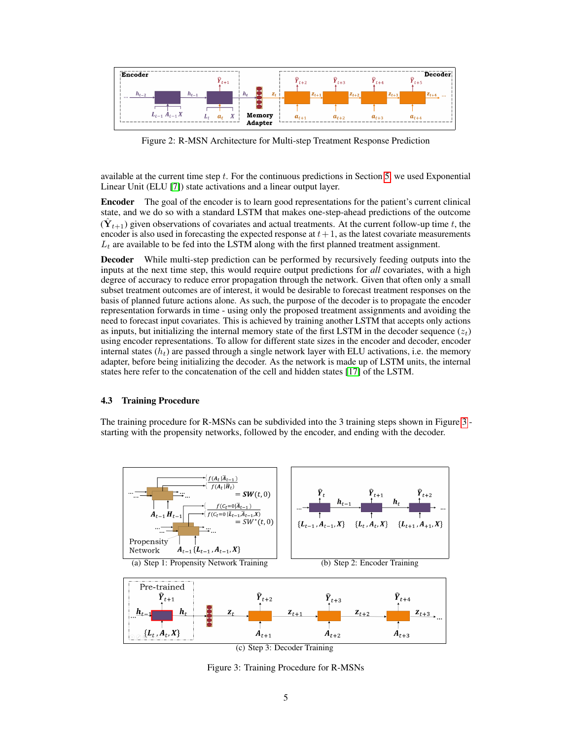

Figure 2: R-MSN Architecture for Multi-step Treatment Response Prediction

available at the current time step  $t$ . For the continuous predictions in Section [5,](#page-5-0) we used Exponential Linear Unit (ELU [\[7\]](#page-9-13)) state activations and a linear output layer.

Encoder The goal of the encoder is to learn good representations for the patient's current clinical state, and we do so with a standard LSTM that makes one-step-ahead predictions of the outcome  $(\hat{\mathbf{Y}}_{t+1})$  given observations of covariates and actual treatments. At the current follow-up time t, the encoder is also used in forecasting the expected response at  $t+1$ , as the latest covariate measurements  $L_t$  are available to be fed into the LSTM along with the first planned treatment assignment.

Decoder While multi-step prediction can be performed by recursively feeding outputs into the inputs at the next time step, this would require output predictions for *all* covariates, with a high degree of accuracy to reduce error propagation through the network. Given that often only a small subset treatment outcomes are of interest, it would be desirable to forecast treatment responses on the basis of planned future actions alone. As such, the purpose of the decoder is to propagate the encoder representation forwards in time - using only the proposed treatment assignments and avoiding the need to forecast input covariates. This is achieved by training another LSTM that accepts only actions as inputs, but initializing the internal memory state of the first LSTM in the decoder sequence  $(z_t)$ using encoder representations. To allow for different state sizes in the encoder and decoder, encoder internal states  $(h_t)$  are passed through a single network layer with ELU activations, i.e. the memory adapter, before being initializing the decoder. As the network is made up of LSTM units, the internal states here refer to the concatenation of the cell and hidden states [\[17\]](#page-9-14) of the LSTM.

#### <span id="page-4-4"></span>4.3 Training Procedure

The training procedure for R-MSNs can be subdivided into the 3 training steps shown in Figure [3](#page-4-0) starting with the propensity networks, followed by the encoder, and ending with the decoder.

<span id="page-4-3"></span><span id="page-4-1"></span>

<span id="page-4-2"></span><span id="page-4-0"></span>(c) Step 3: Decoder Training

Figure 3: Training Procedure for R-MSNs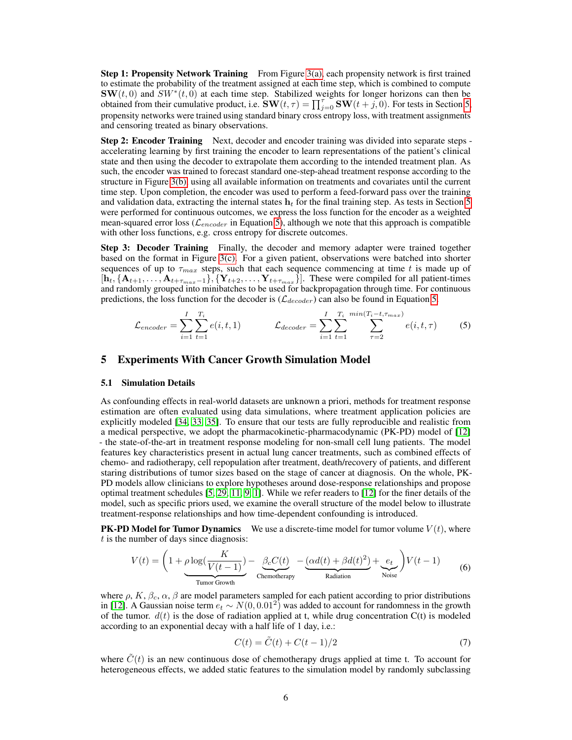**Step 1: Propensity Network Training** From Figure  $3(a)$ , each propensity network is first trained to estimate the probability of the treatment assigned at each time step, which is combined to compute  $\text{SW}(t,0)$  and  $SW^*(t,0)$  at each time step. Stabilized weights for longer horizons can then be obtained from their cumulative product, i.e.  $\text{SW}(t, \tau) = \prod_{j=0}^{\tau} \text{SW}(t + j, 0)$ . For tests in Section [5,](#page-5-0) propensity networks were trained using standard binary cross entropy loss, with treatment assignments and censoring treated as binary observations.

**Step 2: Encoder Training** Next, decoder and encoder training was divided into separate steps accelerating learning by first training the encoder to learn representations of the patient's clinical state and then using the decoder to extrapolate them according to the intended treatment plan. As such, the encoder was trained to forecast standard one-step-ahead treatment response according to the structure in Figure [3\(b\),](#page-4-2) using all available information on treatments and covariates until the current time step. Upon completion, the encoder was used to perform a feed-forward pass over the training and validation data, extracting the internal states  $h_t$  for the final training step. As tests in Section [5](#page-5-0) were performed for continuous outcomes, we express the loss function for the encoder as a weighted mean-squared error loss ( $\mathcal{L}_{encoder}$  in Equation [5\)](#page-5-1), although we note that this approach is compatible with other loss functions, e.g. cross entropy for discrete outcomes.

**Step 3: Decoder Training** Finally, the decoder and memory adapter were trained together based on the format in Figure [3\(c\).](#page-4-3) For a given patient, observations were batched into shorter sequences of up to  $\tau_{max}$  steps, such that each sequence commencing at time t is made up of  $[h_t, \{A_{t+1}, \ldots, A_{t+\tau_{max}-1}\}, \{Y_{t+2}, \ldots, Y_{t+\tau_{max}}\}].$  These were compiled for all patient-times and randomly grouped into minibatches to be used for backpropagation through time. For continuous predictions, the loss function for the decoder is  $(\mathcal{L}_{decoder})$  can also be found in Equation [5.](#page-5-1)

<span id="page-5-1"></span>
$$
\mathcal{L}_{encoder} = \sum_{i=1}^{I} \sum_{t=1}^{T_i} e(i, t, 1) \qquad \mathcal{L}_{decoder} = \sum_{i=1}^{I} \sum_{t=1}^{T_i} \sum_{\tau=2}^{\min(T_i - t, \tau_{max})} e(i, t, \tau) \qquad (5)
$$

### <span id="page-5-0"></span>5 Experiments With Cancer Growth Simulation Model

#### <span id="page-5-2"></span>5.1 Simulation Details

As confounding effects in real-world datasets are unknown a priori, methods for treatment response estimation are often evaluated using data simulations, where treatment application policies are explicitly modeled [\[34,](#page-10-12) [33,](#page-10-10) [35\]](#page-10-13). To ensure that our tests are fully reproducible and realistic from a medical perspective, we adopt the pharmacokinetic-pharmacodynamic (PK-PD) model of [\[12\]](#page-9-0) - the state-of-the-art in treatment response modeling for non-small cell lung patients. The model features key characteristics present in actual lung cancer treatments, such as combined effects of chemo- and radiotherapy, cell repopulation after treatment, death/recovery of patients, and different staring distributions of tumor sizes based on the stage of cancer at diagnosis. On the whole, PK-PD models allow clinicians to explore hypotheses around dose-response relationships and propose optimal treatment schedules [\[5,](#page-9-15) [29,](#page-10-16) [11,](#page-9-16) [9,](#page-9-17) [1\]](#page-9-18). While we refer readers to [\[12\]](#page-9-0) for the finer details of the model, such as specific priors used, we examine the overall structure of the model below to illustrate treatment-response relationships and how time-dependent confounding is introduced.

**PK-PD Model for Tumor Dynamics** We use a discrete-time model for tumor volume  $V(t)$ , where  $t$  is the number of days since diagnosis:

$$
V(t) = \left(1 + \underbrace{\rho \log(\frac{K}{V(t-1)})}_{\text{Turnor Growth}} - \underbrace{\beta_c C(t)}_{\text{Chemotherapy}} - \underbrace{(\alpha d(t) + \beta d(t)^2)}_{\text{Radiation}} + \underbrace{e_t}_{\text{Noise}}\right) V(t-1) \tag{6}
$$

where  $\rho$ , K,  $\beta_c$ ,  $\alpha$ ,  $\beta$  are model parameters sampled for each patient according to prior distributions in [\[12\]](#page-9-0). A Gaussian noise term  $e_t \sim N(0, 0.01^2)$  was added to account for randomness in the growth of the tumor.  $d(t)$  is the dose of radiation applied at t, while drug concentration  $C(t)$  is modeled according to an exponential decay with a half life of 1 day, i.e.:

<span id="page-5-3"></span>
$$
C(t) = \tilde{C}(t) + C(t-1)/2
$$
\n<sup>(7)</sup>

where  $\hat{C}(t)$  is an new continuous dose of chemotherapy drugs applied at time t. To account for heterogeneous effects, we added static features to the simulation model by randomly subclassing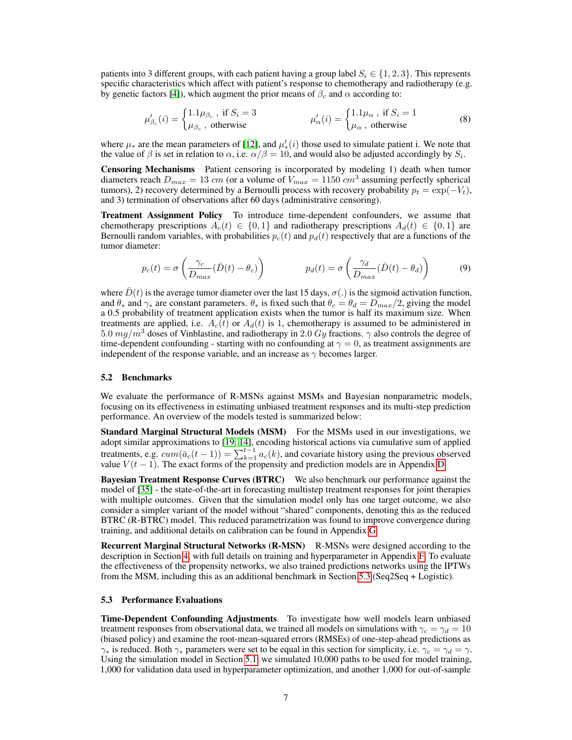patients into 3 different groups, with each patient having a group label  $S_i \in \{1, 2, 3\}$ . This represents specific characteristics which affect with patient's response to chemotherapy and radiotherapy (e.g. by genetic factors [\[4\]](#page-9-19)), which augment the prior means of  $\beta_c$  and  $\alpha$  according to:

$$
\mu'_{\beta_c}(i) = \begin{cases} 1.1\mu_{\beta_c}, \text{ if } S_i = 3\\ \mu_{\beta_c}, \text{ otherwise} \end{cases} \qquad \mu'_{\alpha}(i) = \begin{cases} 1.1\mu_{\alpha}, \text{ if } S_i = 1\\ \mu_{\alpha}, \text{ otherwise} \end{cases} \tag{8}
$$

where  $\mu_*$  are the mean parameters of [\[12\]](#page-9-0), and  $\mu'_*(i)$  those used to simulate patient i. We note that the value of  $\beta$  is set in relation to  $\alpha$ , i.e.  $\alpha/\beta = 10$ , and would also be adjusted accordingly by  $S_i$ .

Censoring Mechanisms Patient censoring is incorporated by modeling 1) death when tumor diameters reach  $D_{max} = 13$  cm (or a volume of  $V_{max} = 1150$  cm<sup>3</sup> assuming perfectly spherical tumors), 2) recovery determined by a Bernoulli process with recovery probability  $p_t = \exp(-V_t)$ , and 3) termination of observations after 60 days (administrative censoring).

Treatment Assignment Policy To introduce time-dependent confounders, we assume that chemotherapy prescriptions  $A_c(t) \in \{0,1\}$  and radiotherapy prescriptions  $A_d(t) \in \{0,1\}$  are Bernoulli random variables, with probabilities  $p_c(t)$  and  $p_d(t)$  respectively that are a functions of the tumor diameter:

$$
p_c(t) = \sigma \left( \frac{\gamma_c}{D_{max}} (\bar{D}(t) - \theta_c) \right) \qquad p_d(t) = \sigma \left( \frac{\gamma_d}{D_{max}} (\bar{D}(t) - \theta_d) \right) \tag{9}
$$

where  $D(t)$  is the average tumor diameter over the last 15 days,  $\sigma(.)$  is the sigmoid activation function, and  $\theta_*$  and  $\gamma_*$  are constant parameters.  $\theta_*$  is fixed such that  $\theta_c = \theta_d = D_{max}/2$ , giving the model a 0.5 probability of treatment application exists when the tumor is half its maximum size. When treatments are applied, i.e.  $A_c(t)$  or  $A_d(t)$  is 1, chemotherapy is assumed to be administered in 5.0  $mg/m^3$  doses of Vinblastine, and radiotherapy in 2.0 Gy fractions.  $\gamma$  also controls the degree of time-dependent confounding - starting with no confounding at  $\gamma = 0$ , as treatment assignments are independent of the response variable, and an increase as  $\gamma$  becomes larger.

#### <span id="page-6-1"></span>5.2 Benchmarks

We evaluate the performance of R-MSNs against MSMs and Bayesian nonparametric models, focusing on its effectiveness in estimating unbiased treatment responses and its multi-step prediction performance. An overview of the models tested is summarized below:

Standard Marginal Structural Models (MSM) For the MSMs used in our investigations, we adopt similar approximations to [\[19,](#page-9-5) [14\]](#page-9-6), encoding historical actions via cumulative sum of applied treatments, e.g.  $cum(\bar{a}_c(t-1)) = \sum_{k=1}^{t-1} a_c(k)$ , and covariate history using the previous observed value  $V(t-1)$ . The exact forms of the propensity and prediction models are in Appendix [D.](#page-12-0)

Bayesian Treatment Response Curves (BTRC) We also benchmark our performance against the model of [\[35\]](#page-10-13) - the state-of-the-art in forecasting multistep treatment responses for joint therapies with multiple outcomes. Given that the simulation model only has one target outcome, we also consider a simpler variant of the model without "shared" components, denoting this as the reduced BTRC (R-BTRC) model. This reduced parametrization was found to improve convergence during training, and additional details on calibration can be found in Appendix [G.](#page-15-0)

Recurrent Marginal Structural Networks (R-MSN) R-MSNs were designed according to the description in Section [4,](#page-3-3) with full details on training and hyperparameter in Appendix [F.](#page-15-1) To evaluate the effectiveness of the propensity networks, we also trained predictions networks using the IPTWs from the MSM, including this as an additional benchmark in Section [5.3](#page-6-0) (Seq2Seq + Logistic).

#### <span id="page-6-0"></span>5.3 Performance Evaluations

Time-Dependent Confounding Adjustments To investigate how well models learn unbiased treatment responses from observational data, we trained all models on simulations with  $\gamma_c = \gamma_d = 10$ (biased policy) and examine the root-mean-squared errors (RMSEs) of one-step-ahead predictions as  $\gamma_*$  is reduced. Both  $\gamma_*$  parameters were set to be equal in this section for simplicity, i.e.  $\gamma_c = \gamma_d = \gamma$ . Using the simulation model in Section [5.1,](#page-5-2) we simulated 10,000 paths to be used for model training, 1,000 for validation data used in hyperparameter optimization, and another 1,000 for out-of-sample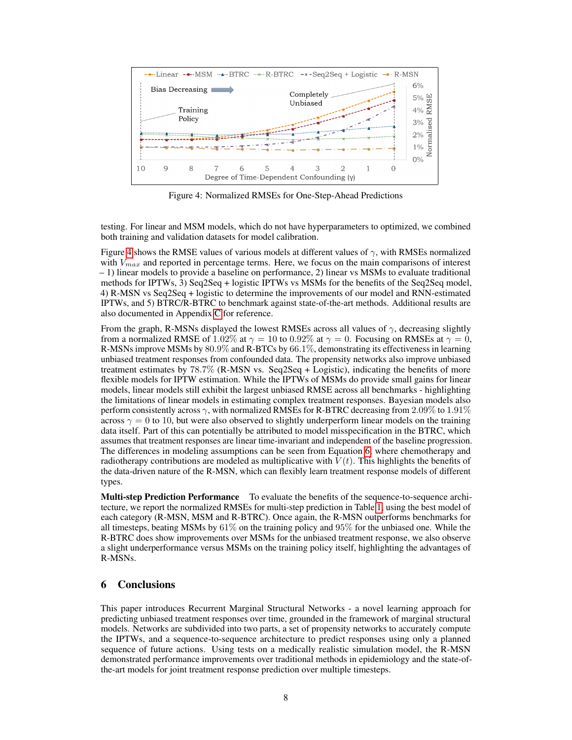

<span id="page-7-0"></span>Figure 4: Normalized RMSEs for One-Step-Ahead Predictions

testing. For linear and MSM models, which do not have hyperparameters to optimized, we combined both training and validation datasets for model calibration.

Figure [4](#page-7-0) shows the RMSE values of various models at different values of  $\gamma$ , with RMSEs normalized with  $V_{max}$  and reported in percentage terms. Here, we focus on the main comparisons of interest – 1) linear models to provide a baseline on performance, 2) linear vs MSMs to evaluate traditional methods for IPTWs, 3) Seq2Seq + logistic IPTWs vs MSMs for the benefits of the Seq2Seq model, 4) R-MSN vs Seq2Seq + logistic to determine the improvements of our model and RNN-estimated IPTWs, and 5) BTRC/R-BTRC to benchmark against state-of-the-art methods. Additional results are also documented in Appendix [C](#page-12-1) for reference.

From the graph, R-MSNs displayed the lowest RMSEs across all values of  $\gamma$ , decreasing slightly from a normalized RMSE of 1.02% at  $\gamma = 10$  to 0.92% at  $\gamma = 0$ . Focusing on RMSEs at  $\gamma = 0$ , R-MSNs improve MSMs by 80.9% and R-BTCs by 66.1%, demonstrating its effectiveness in learning unbiased treatment responses from confounded data. The propensity networks also improve unbiased treatment estimates by 78.7% (R-MSN vs. Seq2Seq + Logistic), indicating the benefits of more flexible models for IPTW estimation. While the IPTWs of MSMs do provide small gains for linear models, linear models still exhibit the largest unbiased RMSE across all benchmarks - highlighting the limitations of linear models in estimating complex treatment responses. Bayesian models also perform consistently across  $\gamma$ , with normalized RMSEs for R-BTRC decreasing from 2.09% to 1.91% across  $\gamma = 0$  to 10, but were also observed to slightly underperform linear models on the training data itself. Part of this can potentially be attributed to model misspecification in the BTRC, which assumes that treatment responses are linear time-invariant and independent of the baseline progression. The differences in modeling assumptions can be seen from Equation [6,](#page-5-3) where chemotherapy and radiotherapy contributions are modeled as multiplicative with  $V(t)$ . This highlights the benefits of the data-driven nature of the R-MSN, which can flexibly learn treatment response models of different types.

Multi-step Prediction Performance To evaluate the benefits of the sequence-to-sequence architecture, we report the normalized RMSEs for multi-step prediction in Table [1,](#page-8-0) using the best model of each category (R-MSN, MSM and R-BTRC). Once again, the R-MSN outperforms benchmarks for all timesteps, beating MSMs by  $61\%$  on the training policy and  $95\%$  for the unbiased one. While the R-BTRC does show improvements over MSMs for the unbiased treatment response, we also observe a slight underperformance versus MSMs on the training policy itself, highlighting the advantages of R-MSNs.

## 6 Conclusions

This paper introduces Recurrent Marginal Structural Networks - a novel learning approach for predicting unbiased treatment responses over time, grounded in the framework of marginal structural models. Networks are subdivided into two parts, a set of propensity networks to accurately compute the IPTWs, and a sequence-to-sequence architecture to predict responses using only a planned sequence of future actions. Using tests on a medically realistic simulation model, the R-MSN demonstrated performance improvements over traditional methods in epidemiology and the state-ofthe-art models for joint treatment response prediction over multiple timesteps.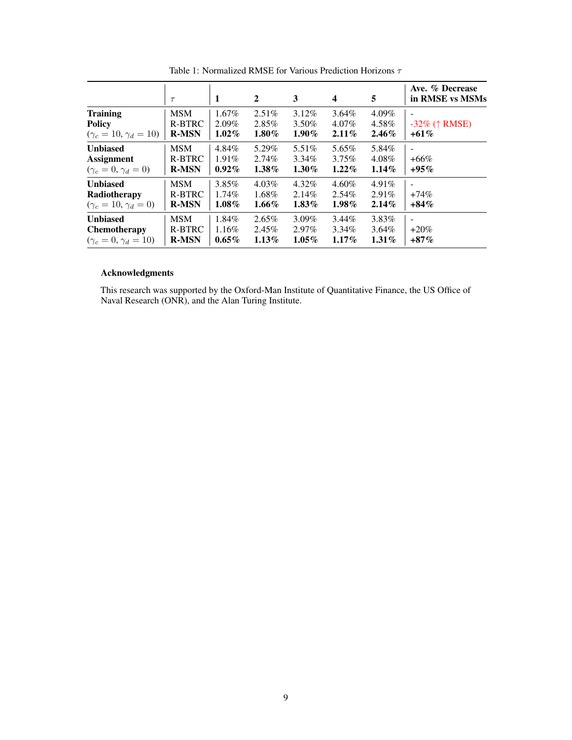<span id="page-8-0"></span>

|                                                                | $\tau$                               | 1                                | $\overline{2}$                | 3                             | $\overline{\mathbf{4}}$          | 5                                | Ave. % Decrease<br>in RMSE vs MSMs |
|----------------------------------------------------------------|--------------------------------------|----------------------------------|-------------------------------|-------------------------------|----------------------------------|----------------------------------|------------------------------------|
| <b>Training</b>                                                | <b>MSM</b>                           | $1.67\%$                         | $2.51\%$                      | $3.12\%$                      | $3.64\%$                         | $4.09\%$                         | $\overline{\phantom{0}}$           |
| <b>Policy</b>                                                  | R-BTRC                               | $2.09\%$                         | 2.85%                         | 3.50%                         | 4.07%                            | 4.58%                            | $-32\%$ († RMSE)                   |
| $(\gamma_c = 10, \gamma_d = 10)$                               | <b>R-MSN</b>                         | $1.02\%$                         | $1.80\%$                      | $1.90\%$                      | $2.11\%$                         | $2.46\%$                         | $+61\%$                            |
| <b>Unbiased</b>                                                | <b>MSM</b>                           | 4.84%                            | 5.29%                         | $5.51\%$                      | 5.65%                            | 5.84%                            | ۰                                  |
| <b>Assignment</b>                                              | R-BTRC                               | $1.91\%$                         | $2.74\%$                      | $3.34\%$                      | $3.75\%$                         | 4.08%                            | $+66\%$                            |
| $(\gamma_c=0, \gamma_d=0)$                                     | <b>R-MSN</b>                         | $0.92\%$                         | $1.38\%$                      | $1.30\%$                      | $1.22\%$                         | $1.14\%$                         | $+95\%$                            |
| <b>Unbiased</b><br>Radiotherapy<br>$(\gamma_c=10, \gamma_d=0)$ | <b>MSM</b><br>R-BTRC<br><b>R-MSN</b> | $3.85\%$<br>$1.74\%$<br>$1.08\%$ | $4.03\%$<br>1.68%<br>$1.66\%$ | $4.32\%$<br>2.14%<br>$1.83\%$ | $4.60\%$<br>$2.54\%$<br>$1.98\%$ | $4.91\%$<br>$2.91\%$<br>$2.14\%$ | $+74\%$<br>$+84\%$                 |
| <b>Unbiased</b>                                                | <b>MSM</b>                           | 1.84%                            | $2.65\%$                      | $3.09\%$                      | $3.44\%$                         | 3.83%                            | ۰                                  |
| <b>Chemotherapy</b>                                            | R-BTRC                               | 1.16%                            | $2.45\%$                      | $2.97\%$                      | 3.34%                            | $3.64\%$                         | $+20\%$                            |
| $(\gamma_c=0, \gamma_d=10)$                                    | <b>R-MSN</b>                         | $0.65\%$                         | $1.13\%$                      | $1.05\%$                      | $1.17\%$                         | $1.31\%$                         | $+87\%$                            |

Table 1: Normalized RMSE for Various Prediction Horizons  $\tau$ 

## Acknowledgments

This research was supported by the Oxford-Man Institute of Quantitative Finance, the US Office of Naval Research (ONR), and the Alan Turing Institute.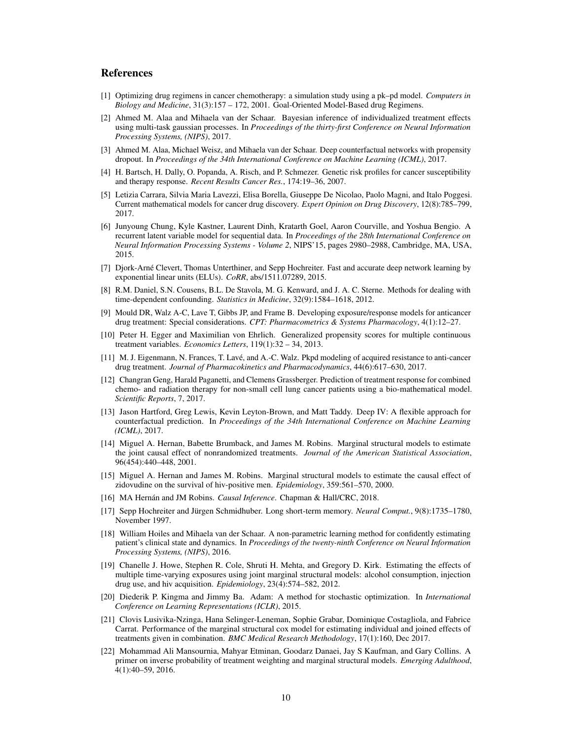## References

- <span id="page-9-18"></span>[1] Optimizing drug regimens in cancer chemotherapy: a simulation study using a pk–pd model. *Computers in Biology and Medicine*, 31(3):157 – 172, 2001. Goal-Oriented Model-Based drug Regimens.
- <span id="page-9-2"></span>[2] Ahmed M. Alaa and Mihaela van der Schaar. Bayesian inference of individualized treatment effects using multi-task gaussian processes. In *Proceedings of the thirty-first Conference on Neural Information Processing Systems, (NIPS)*, 2017.
- <span id="page-9-9"></span>[3] Ahmed M. Alaa, Michael Weisz, and Mihaela van der Schaar. Deep counterfactual networks with propensity dropout. In *Proceedings of the 34th International Conference on Machine Learning (ICML)*, 2017.
- <span id="page-9-19"></span>[4] H. Bartsch, H. Dally, O. Popanda, A. Risch, and P. Schmezer. Genetic risk profiles for cancer susceptibility and therapy response. *Recent Results Cancer Res.*, 174:19–36, 2007.
- <span id="page-9-15"></span>[5] Letizia Carrara, Silvia Maria Lavezzi, Elisa Borella, Giuseppe De Nicolao, Paolo Magni, and Italo Poggesi. Current mathematical models for cancer drug discovery. *Expert Opinion on Drug Discovery*, 12(8):785–799, 2017.
- <span id="page-9-12"></span>[6] Junyoung Chung, Kyle Kastner, Laurent Dinh, Kratarth Goel, Aaron Courville, and Yoshua Bengio. A recurrent latent variable model for sequential data. In *Proceedings of the 28th International Conference on Neural Information Processing Systems - Volume 2*, NIPS'15, pages 2980–2988, Cambridge, MA, USA, 2015.
- <span id="page-9-13"></span>[7] Djork-Arné Clevert, Thomas Unterthiner, and Sepp Hochreiter. Fast and accurate deep network learning by exponential linear units (ELUs). *CoRR*, abs/1511.07289, 2015.
- <span id="page-9-8"></span>[8] R.M. Daniel, S.N. Cousens, B.L. De Stavola, M. G. Kenward, and J. A. C. Sterne. Methods for dealing with time-dependent confounding. *Statistics in Medicine*, 32(9):1584–1618, 2012.
- <span id="page-9-17"></span>[9] Mould DR, Walz A-C, Lave T, Gibbs JP, and Frame B. Developing exposure/response models for anticancer drug treatment: Special considerations. *CPT: Pharmacometrics & Systems Pharmacology*, 4(1):12–27.
- <span id="page-9-10"></span>[10] Peter H. Egger and Maximilian von Ehrlich. Generalized propensity scores for multiple continuous treatment variables. *Economics Letters*, 119(1):32 – 34, 2013.
- <span id="page-9-16"></span>[11] M. J. Eigenmann, N. Frances, T. Lavé, and A.-C. Walz. Pkpd modeling of acquired resistance to anti-cancer drug treatment. *Journal of Pharmacokinetics and Pharmacodynamics*, 44(6):617–630, 2017.
- <span id="page-9-0"></span>[12] Changran Geng, Harald Paganetti, and Clemens Grassberger. Prediction of treatment response for combined chemo- and radiation therapy for non-small cell lung cancer patients using a bio-mathematical model. *Scientific Reports*, 7, 2017.
- <span id="page-9-1"></span>[13] Jason Hartford, Greg Lewis, Kevin Leyton-Brown, and Matt Taddy. Deep IV: A flexible approach for counterfactual prediction. In *Proceedings of the 34th International Conference on Machine Learning (ICML)*, 2017.
- <span id="page-9-6"></span>[14] Miguel A. Hernan, Babette Brumback, and James M. Robins. Marginal structural models to estimate the joint causal effect of nonrandomized treatments. *Journal of the American Statistical Association*, 96(454):440–448, 2001.
- <span id="page-9-4"></span>[15] Miguel A. Hernan and James M. Robins. Marginal structural models to estimate the causal effect of zidovudine on the survival of hiv-positive men. *Epidemiology*, 359:561–570, 2000.
- <span id="page-9-3"></span>[16] MA Hernán and JM Robins. *Causal Inference*. Chapman & Hall/CRC, 2018.
- <span id="page-9-14"></span>[17] Sepp Hochreiter and Jürgen Schmidhuber. Long short-term memory. *Neural Comput.*, 9(8):1735–1780, November 1997.
- <span id="page-9-20"></span>[18] William Hoiles and Mihaela van der Schaar. A non-parametric learning method for confidently estimating patient's clinical state and dynamics. In *Proceedings of the twenty-ninth Conference on Neural Information Processing Systems, (NIPS)*, 2016.
- <span id="page-9-5"></span>[19] Chanelle J. Howe, Stephen R. Cole, Shruti H. Mehta, and Gregory D. Kirk. Estimating the effects of multiple time-varying exposures using joint marginal structural models: alcohol consumption, injection drug use, and hiv acquisition. *Epidemiology*, 23(4):574–582, 2012.
- <span id="page-9-21"></span>[20] Diederik P. Kingma and Jimmy Ba. Adam: A method for stochastic optimization. In *International Conference on Learning Representations (ICLR)*, 2015.
- <span id="page-9-11"></span>[21] Clovis Lusivika-Nzinga, Hana Selinger-Leneman, Sophie Grabar, Dominique Costagliola, and Fabrice Carrat. Performance of the marginal structural cox model for estimating individual and joined effects of treatments given in combination. *BMC Medical Research Methodology*, 17(1):160, Dec 2017.
- <span id="page-9-7"></span>[22] Mohammad Ali Mansournia, Mahyar Etminan, Goodarz Danaei, Jay S Kaufman, and Gary Collins. A primer on inverse probability of treatment weighting and marginal structural models. *Emerging Adulthood*, 4(1):40–59, 2016.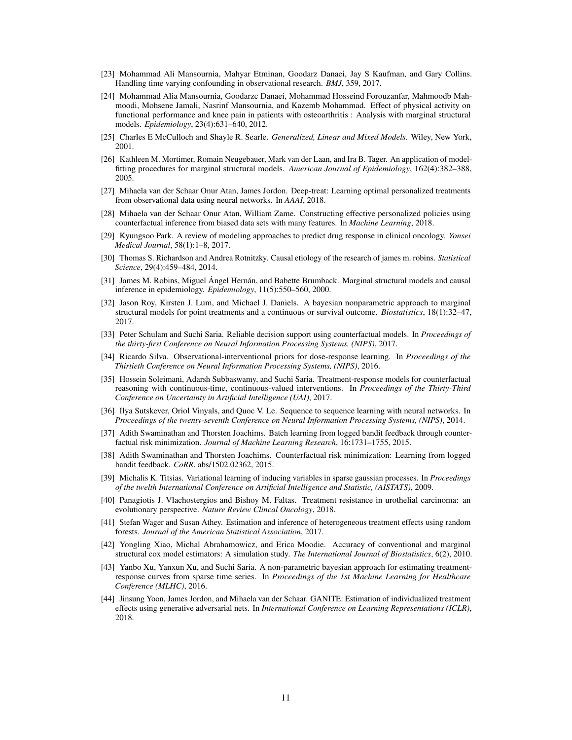- <span id="page-10-4"></span>[23] Mohammad Ali Mansournia, Mahyar Etminan, Goodarz Danaei, Jay S Kaufman, and Gary Collins. Handling time varying confounding in observational research. *BMJ*, 359, 2017.
- <span id="page-10-5"></span>[24] Mohammad Alia Mansournia, Goodarzc Danaei, Mohammad Hosseind Forouzanfar, Mahmoodb Mahmoodi, Mohsene Jamali, Nasrinf Mansournia, and Kazemb Mohammad. Effect of physical activity on functional performance and knee pain in patients with osteoarthritis : Analysis with marginal structural models. *Epidemiology*, 23(4):631–640, 2012.
- <span id="page-10-21"></span>[25] Charles E McCulloch and Shayle R. Searle. *Generalized, Linear and Mixed Models*. Wiley, New York, 2001.
- <span id="page-10-3"></span>[26] Kathleen M. Mortimer, Romain Neugebauer, Mark van der Laan, and Ira B. Tager. An application of modelfitting procedures for marginal structural models. *American Journal of Epidemiology*, 162(4):382–388, 2005.
- <span id="page-10-19"></span>[27] Mihaela van der Schaar Onur Atan, James Jordon. Deep-treat: Learning optimal personalized treatments from observational data using neural networks. In *AAAI*, 2018.
- <span id="page-10-20"></span>[28] Mihaela van der Schaar Onur Atan, William Zame. Constructing effective personalized policies using counterfactual inference from biased data sets with many features. In *Machine Learning*, 2018.
- <span id="page-10-16"></span>[29] Kyungsoo Park. A review of modeling approaches to predict drug response in clinical oncology. *Yonsei Medical Journal*, 58(1):1–8, 2017.
- <span id="page-10-7"></span>[30] Thomas S. Richardson and Andrea Rotnitzky. Causal etiology of the research of james m. robins. *Statistical Science*, 29(4):459–484, 2014.
- <span id="page-10-8"></span>[31] James M. Robins, Miguel Ángel Hernán, and Babette Brumback. Marginal structural models and causal inference in epidemiology. *Epidemiology*, 11(5):550–560, 2000.
- <span id="page-10-9"></span>[32] Jason Roy, Kirsten J. Lum, and Michael J. Daniels. A bayesian nonparametric approach to marginal structural models for point treatments and a continuous or survival outcome. *Biostatistics*, 18(1):32–47, 2017.
- <span id="page-10-10"></span>[33] Peter Schulam and Suchi Saria. Reliable decision support using counterfactual models. In *Proceedings of the thirty-first Conference on Neural Information Processing Systems, (NIPS)*, 2017.
- <span id="page-10-12"></span>[34] Ricardo Silva. Observational-interventional priors for dose-response learning. In *Proceedings of the Thirtieth Conference on Neural Information Processing Systems, (NIPS)*, 2016.
- <span id="page-10-13"></span>[35] Hossein Soleimani, Adarsh Subbaswamy, and Suchi Saria. Treatment-response models for counterfactual reasoning with continuous-time, continuous-valued interventions. In *Proceedings of the Thirty-Third Conference on Uncertainty in Artificial Intelligence (UAI)*, 2017.
- <span id="page-10-6"></span>[36] Ilya Sutskever, Oriol Vinyals, and Quoc V. Le. Sequence to sequence learning with neural networks. In *Proceedings of the twenty-seventh Conference on Neural Information Processing Systems, (NIPS)*, 2014.
- <span id="page-10-18"></span>[37] Adith Swaminathan and Thorsten Joachims. Batch learning from logged bandit feedback through counterfactual risk minimization. *Journal of Machine Learning Research*, 16:1731–1755, 2015.
- <span id="page-10-17"></span>[38] Adith Swaminathan and Thorsten Joachims. Counterfactual risk minimization: Learning from logged bandit feedback. *CoRR*, abs/1502.02362, 2015.
- <span id="page-10-14"></span>[39] Michalis K. Titsias. Variational learning of inducing variables in sparse gaussian processes. In *Proceedings of the twelth International Conference on Artificial Intelligence and Statistic, (AISTATS)*, 2009.
- <span id="page-10-2"></span>[40] Panagiotis J. Vlachostergios and Bishoy M. Faltas. Treatment resistance in urothelial carcinoma: an evolutionary perspective. *Nature Review Clincal Oncology*, 2018.
- <span id="page-10-0"></span>[41] Stefan Wager and Susan Athey. Estimation and inference of heterogeneous treatment effects using random forests. *Journal of the American Statistical Association*, 2017.
- <span id="page-10-15"></span>[42] Yongling Xiao, Michal Abrahamowicz, and Erica Moodie. Accuracy of conventional and marginal structural cox model estimators: A simulation study. *The International Journal of Biostatistics*, 6(2), 2010.
- <span id="page-10-11"></span>[43] Yanbo Xu, Yanxun Xu, and Suchi Saria. A non-parametric bayesian approach for estimating treatmentresponse curves from sparse time series. In *Proceedings of the 1st Machine Learning for Healthcare Conference (MLHC)*, 2016.
- <span id="page-10-1"></span>[44] Jinsung Yoon, James Jordon, and Mihaela van der Schaar. GANITE: Estimation of individualized treatment effects using generative adversarial nets. In *International Conference on Learning Representations (ICLR)*, 2018.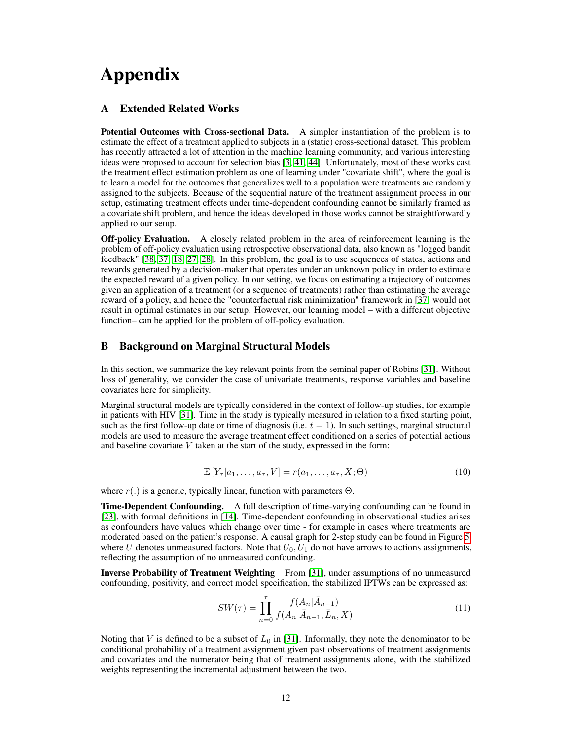# Appendix

## <span id="page-11-0"></span>A Extended Related Works

Potential Outcomes with Cross-sectional Data. A simpler instantiation of the problem is to estimate the effect of a treatment applied to subjects in a (static) cross-sectional dataset. This problem has recently attracted a lot of attention in the machine learning community, and various interesting ideas were proposed to account for selection bias [\[3,](#page-9-9) [41,](#page-10-0) [44\]](#page-10-1). Unfortunately, most of these works cast the treatment effect estimation problem as one of learning under "covariate shift", where the goal is to learn a model for the outcomes that generalizes well to a population were treatments are randomly assigned to the subjects. Because of the sequential nature of the treatment assignment process in our setup, estimating treatment effects under time-dependent confounding cannot be similarly framed as a covariate shift problem, and hence the ideas developed in those works cannot be straightforwardly applied to our setup.

Off-policy Evaluation. A closely related problem in the area of reinforcement learning is the problem of off-policy evaluation using retrospective observational data, also known as "logged bandit feedback" [\[38,](#page-10-17) [37,](#page-10-18) [18,](#page-9-20) [27,](#page-10-19) [28\]](#page-10-20). In this problem, the goal is to use sequences of states, actions and rewards generated by a decision-maker that operates under an unknown policy in order to estimate the expected reward of a given policy. In our setting, we focus on estimating a trajectory of outcomes given an application of a treatment (or a sequence of treatments) rather than estimating the average reward of a policy, and hence the "counterfactual risk minimization" framework in [\[37\]](#page-10-18) would not result in optimal estimates in our setup. However, our learning model – with a different objective function– can be applied for the problem of off-policy evaluation.

## <span id="page-11-1"></span>B Background on Marginal Structural Models

In this section, we summarize the key relevant points from the seminal paper of Robins [\[31\]](#page-10-8). Without loss of generality, we consider the case of univariate treatments, response variables and baseline covariates here for simplicity.

Marginal structural models are typically considered in the context of follow-up studies, for example in patients with HIV [\[31\]](#page-10-8). Time in the study is typically measured in relation to a fixed starting point, such as the first follow-up date or time of diagnosis (i.e.  $t = 1$ ). In such settings, marginal structural models are used to measure the average treatment effect conditioned on a series of potential actions and baseline covariate  $V$  taken at the start of the study, expressed in the form:

$$
\mathbb{E}\left[Y_{\tau}|a_1,\ldots,a_{\tau},V\right] = r(a_1,\ldots,a_{\tau},X;\Theta)
$$
\n(10)

where  $r(.)$  is a generic, typically linear, function with parameters  $\Theta$ .

**Time-Dependent Confounding.** A full description of time-varying confounding can be found in [\[23\]](#page-10-4), with formal definitions in [\[14\]](#page-9-6). Time-dependent confounding in observational studies arises as confounders have values which change over time - for example in cases where treatments are moderated based on the patient's response. A causal graph for 2-step study can be found in Figure [5,](#page-12-2) where U denotes unmeasured factors. Note that  $U_0$ ,  $U_1$  do not have arrows to actions assignments, reflecting the assumption of no unmeasured confounding.

Inverse Probability of Treatment Weighting From [\[31\]](#page-10-8), under assumptions of no unmeasured confounding, positivity, and correct model specification, the stabilized IPTWs can be expressed as:

$$
SW(\tau) = \prod_{n=0}^{\tau} \frac{f(A_n | \bar{A}_{n-1})}{f(A_n | \bar{A}_{n-1}, \bar{L}_n, X)}
$$
(11)

Noting that V is defined to be a subset of  $L_0$  in [\[31\]](#page-10-8). Informally, they note the denominator to be conditional probability of a treatment assignment given past observations of treatment assignments and covariates and the numerator being that of treatment assignments alone, with the stabilized weights representing the incremental adjustment between the two.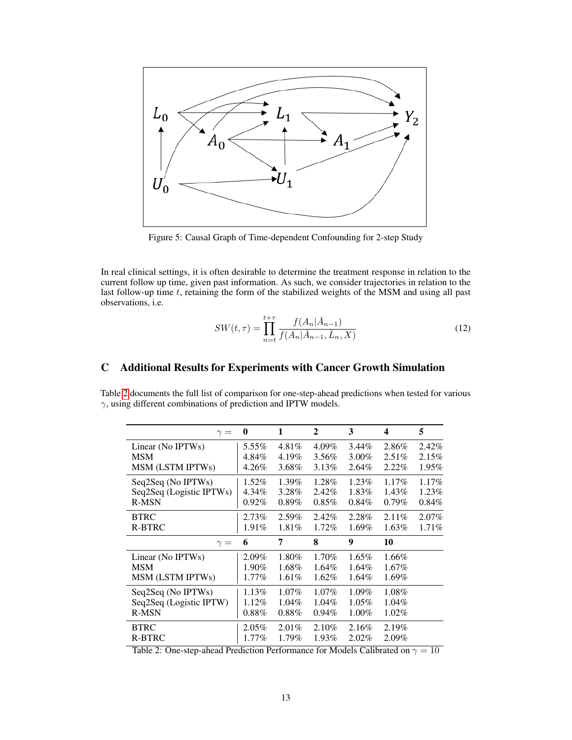

Figure 5: Causal Graph of Time-dependent Confounding for 2-step Study

In real clinical settings, it is often desirable to determine the treatment response in relation to the current follow up time, given past information. As such, we consider trajectories in relation to the last follow-up time t, retaining the form of the stabilized weights of the MSM and using all past observations, i.e.

<span id="page-12-3"></span><span id="page-12-2"></span>
$$
SW(t,\tau) = \prod_{n=t}^{t+\tau} \frac{f(A_n | \bar{A}_{n-1})}{f(A_n | \bar{A}_{n-1}, \bar{L}_n, X)}
$$
(12)

## <span id="page-12-1"></span>C Additional Results for Experiments with Cancer Growth Simulation

Table [2](#page-12-3) documents the full list of comparison for one-step-ahead predictions when tested for various  $\gamma$ , using different combinations of prediction and IPTW models.

| $\gamma =$               | $\mathbf{0}$ | 1        | $\mathbf{2}$ | 3        | 4        | 5        |
|--------------------------|--------------|----------|--------------|----------|----------|----------|
| Linear (No IPTWs)        | 5.55%        | 4.81%    | 4.09%        | $3.44\%$ | 2.86%    | 2.42%    |
| <b>MSM</b>               | 4.84%        | 4.19%    | 3.56%        | $3.00\%$ | $2.51\%$ | 2.15%    |
| MSM (LSTM IPTWs)         | 4.26%        | 3.68%    | 3.13%        | 2.64%    | $2.22\%$ | $1.95\%$ |
| Seq2Seq (No IPTWs)       | 1.52%        | 1.39%    | 1.28%        | 1.23%    | $1.17\%$ | $1.17\%$ |
| Seq2Seq (Logistic IPTWs) | 4.34%        | 3.28%    | 2.42%        | 1.83%    | 1.43%    | 1.23%    |
| <b>R-MSN</b>             | $0.92\%$     | $0.89\%$ | $0.85\%$     | $0.84\%$ | $0.79\%$ | 0.84%    |
| <b>BTRC</b>              | $2.73\%$     | 2.59%    | 2.42%        | 2.28%    | $2.11\%$ | $2.07\%$ |
| <b>R-BTRC</b>            | 1.91%        | 1.81%    | 1.72%        | 1.69%    | $1.63\%$ | 1.71%    |
| $\gamma =$               | 6            | 7        | 8            | 9        | 10       |          |
| Linear (No IPTWs)        | 2.09%        | 1.80%    | 1.70%        | $1.65\%$ | 1.66%    |          |
| <b>MSM</b>               | $1.90\%$     | 1.68%    | 1.64%        | 1.64%    | $1.67\%$ |          |
| MSM (LSTM IPTWs)         | 1.77%        | $1.61\%$ | 1.62%        | 1.64%    | 1.69%    |          |
| Seq2Seq (No IPTWs)       | 1.13%        | $1.07\%$ | $1.07\%$     | $1.09\%$ | 1.08%    |          |
| Seq2Seq (Logistic IPTW)  | 1.12%        | 1.04%    | 1.04%        | $1.05\%$ | 1.04%    |          |
| <b>R-MSN</b>             | $0.88\%$     | $0.88\%$ | 0.94%        | $1.00\%$ | $1.02\%$ |          |
| <b>BTRC</b>              | $2.05\%$     | $2.01\%$ | 2.10%        | 2.16%    | 2.19%    |          |
| <b>R-BTRC</b>            | 1.77%        | 1.79%    | 1.93%        | $2.02\%$ | 2.09%    |          |

<span id="page-12-0"></span>Table 2: One-step-ahead Prediction Performance for Models Calibrated on  $\gamma = 10$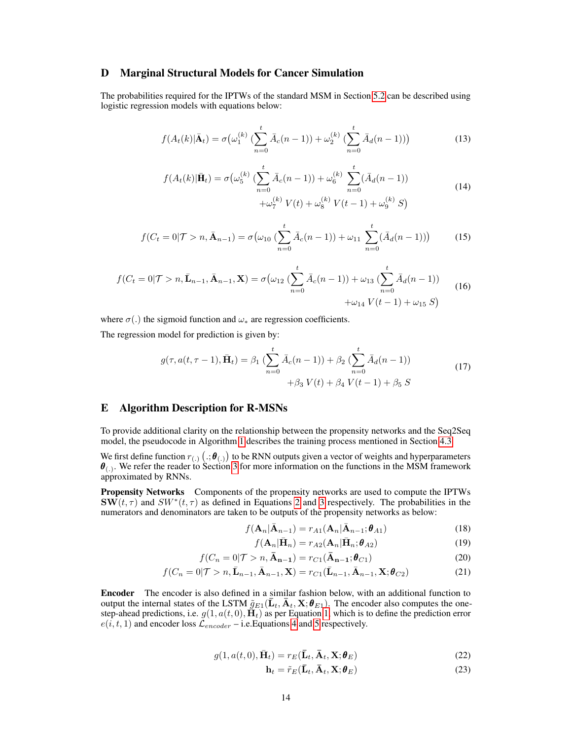## D Marginal Structural Models for Cancer Simulation

The probabilities required for the IPTWs of the standard MSM in Section [5.2](#page-6-1) can be described using logistic regression models with equations below:

$$
f(A_t(k)|\bar{\mathbf{A}}_t) = \sigma(\omega_1^{(k)}\left(\sum_{n=0}^t \bar{A}_c(n-1)\right) + \omega_2^{(k)}\left(\sum_{n=0}^t \bar{A}_d(n-1)\right))
$$
(13)

$$
f(A_t(k)|\bar{\mathbf{H}}_t) = \sigma(\omega_5^{(k)} \left( \sum_{n=0}^t \bar{A}_c(n-1) \right) + \omega_6^{(k)} \sum_{n=0}^t (\bar{A}_d(n-1))
$$
  
 
$$
+ \omega_7^{(k)} V(t) + \omega_8^{(k)} V(t-1) + \omega_9^{(k)} S)
$$
 (14)

$$
f(C_t = 0 | \mathcal{T} > n, \bar{\mathbf{A}}_{n-1}) = \sigma\big(\omega_{10} \left( \sum_{n=0}^t \bar{A}_c(n-1) \right) + \omega_{11} \sum_{n=0}^t (\bar{A}_d(n-1))\big) \tag{15}
$$

$$
f(C_t = 0 | \mathcal{T} > n, \bar{\mathbf{L}}_{n-1}, \bar{\mathbf{A}}_{n-1}, \mathbf{X}) = \sigma(\omega_{12} \left( \sum_{n=0}^t \bar{A}_c(n-1) \right) + \omega_{13} \left( \sum_{n=0}^t \bar{A}_d(n-1) \right) + \omega_{14} V(t-1) + \omega_{15} S)
$$
\n(16)

where  $\sigma(.)$  the sigmoid function and  $\omega_*$  are regression coefficients.

The regression model for prediction is given by:

$$
g(\tau, a(t, \tau - 1), \bar{\mathbf{H}}_t) = \beta_1 \left( \sum_{n=0}^t \bar{A}_c(n-1) \right) + \beta_2 \left( \sum_{n=0}^t \bar{A}_d(n-1) \right) + \beta_3 V(t) + \beta_4 V(t-1) + \beta_5 S
$$
\n(17)

#### <span id="page-13-0"></span>E Algorithm Description for R-MSNs

To provide additional clarity on the relationship between the propensity networks and the Seq2Seq model, the pseudocode in Algorithm [1](#page-14-0) describes the training process mentioned in Section [4.3.](#page-4-4)

We first define function  $r_{(.)}(.\mathbf{;}\theta_{(.)})$  to be RNN outputs given a vector of weights and hyperparameters  $\theta_{(.)}$ . We refer the reader to Section [3](#page-2-1) for more information on the functions in the MSM framework approximated by RNNs.

Propensity Networks Components of the propensity networks are used to compute the IPTWs  $\textbf{SW}(t, \tau)$  and  $SW^*(t, \tau)$  as defined in Equations [2](#page-2-0) and [3](#page-3-1) respectively. The probabilities in the numerators and denominators are taken to be outputs of the propensity networks as below:

$$
f(\mathbf{A}_n|\bar{\mathbf{A}}_{n-1}) = r_{A1}(\mathbf{A}_n|\bar{\mathbf{A}}_{n-1};\boldsymbol{\theta}_{A1})
$$
\n(18)

$$
f(\mathbf{A}_n|\bar{\mathbf{H}}_n) = r_{A2}(\mathbf{A}_n|\bar{\mathbf{H}}_n; \boldsymbol{\theta}_{A2})
$$
\n(19)

$$
f(C_n = 0 | \mathcal{T} > n, \mathbf{\bar{A}}_{n-1}) = r_{C1}(\mathbf{\bar{A}}_{n-1}; \boldsymbol{\theta}_{C1}) \tag{20}
$$

$$
f(C_n = 0 | \mathcal{T} > n, \bar{\mathbf{L}}_{n-1}, \bar{\mathbf{A}}_{n-1}, \mathbf{X}) = r_{C1}(\bar{\mathbf{L}}_{n-1}, \bar{\mathbf{A}}_{n-1}, \mathbf{X}; \boldsymbol{\theta}_{C2}) \tag{21}
$$

Encoder The encoder is also defined in a similar fashion below, with an additional function to output the internal states of the LSTM  $\tilde{q}_{E1}(\bar{\bf{L}}_t, \bar{\bf{A}}_t, {\bf{X}}; {\boldsymbol{\theta}}_{E1})$ . The encoder also computes the onestep-ahead predictions, i.e.  $g(1, a(t, 0), \tilde{H}_t)$  as per Equation [1,](#page-2-2) which is to define the prediction error  $e(i, t, 1)$  and encoder loss  $\mathcal{L}_{encoder}$  – i.e. Equations [4](#page-3-4) and [5](#page-5-1) respectively.

$$
g(1, a(t, 0), \bar{\mathbf{H}}_t) = r_E(\bar{\mathbf{L}}_t, \bar{\mathbf{A}}_t, \mathbf{X}; \boldsymbol{\theta}_E)
$$
(22)

$$
\mathbf{h}_t = \tilde{r}_E(\bar{\mathbf{L}}_t, \bar{\mathbf{A}}_t, \mathbf{X}; \boldsymbol{\theta}_E)
$$
 (23)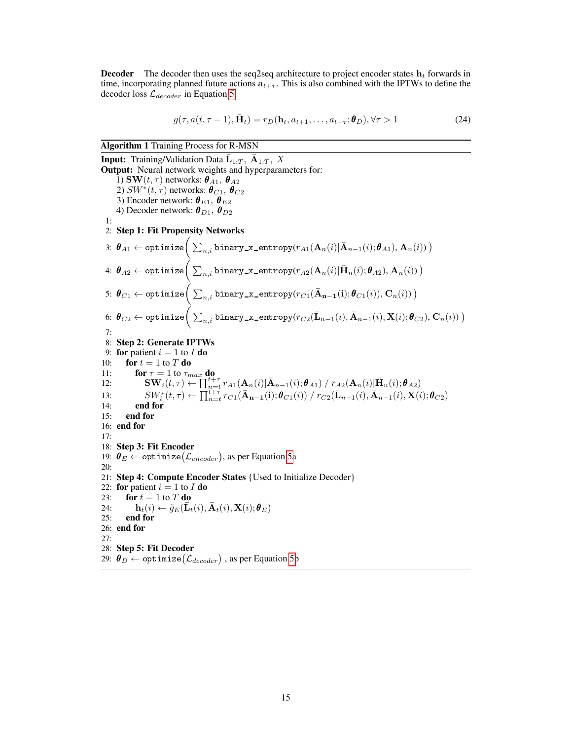**Decoder** The decoder then uses the seq2seq architecture to project encoder states  $\mathbf{h}_t$  forwards in time, incorporating planned future actions  $a_{t+\tau}$ . This is also combined with the IPTWs to define the decoder loss  $\mathcal{L}_{decoder}$  in Equation [5.](#page-5-1)

$$
g(\tau, a(t, \tau - 1), \bar{\mathbf{H}}_t) = r_D(\mathbf{h}_t, a_{t+1}, \dots, a_{t+\tau}; \boldsymbol{\theta}_D), \forall \tau > 1
$$
\n(24)

Algorithm 1 Training Process for R-MSN

<span id="page-14-0"></span>**Input:** Training/Validation Data  $\bar{\mathbf{L}}_{1:T}$ ,  $\bar{\mathbf{A}}_{1:T}$ , X Output: Neural network weights and hyperparameters for: 1) SW $(t, \tau)$  networks:  $\boldsymbol{\theta}_{A1}, \boldsymbol{\theta}_{A2}$ 2)  $SW^*(t,\tau)$  networks:  $\bm{\theta}_{C1},$   $\bm{\theta}_{C2}$ 3) Encoder network:  $\boldsymbol{\theta}_{E1}$ ,  $\boldsymbol{\theta}_{E2}$ 4) Decoder network:  $\boldsymbol{\theta}_{D1}$ ,  $\boldsymbol{\theta}_{D2}$ 1: 2: Step 1: Fit Propensity Networks 3:  $\bm{\theta}_{A1} \leftarrow \texttt{ optimize}\Big(\sum_{n,i}\texttt{binary\_x\_entropy}(r_{A1}(\mathbf{A}_n(i)|\bar{\mathbf{A}}_{n-1}(i); \bm{\theta}_{A1}), \mathbf{A}_n(i))\,\big)$ 4:  $\bm{\theta}_{A2} \leftarrow \texttt{ optimize}\Big(\sum_{n,i}\texttt{binary\_x\_entropy}(r_{A2}(\mathbf{A}_n(i)|\bar{\mathbf{H}}_n(i);\bm{\theta}_{A2}),\mathbf{A}_n(i))\,\big)$ 5:  $\bm{\theta}_{C1} \leftarrow \texttt{ optimize}\Big(\sum_{n,i}\mathtt{binary\_x\_entropy}(r_{C1}(\mathbf{\bar{A}_{n-1}(i)}; \bm{\theta}_{C1}(i)), \mathbf{C}_n(i))\,\big)$ 6:  $\bm\theta_{C2} \leftarrow \texttt{optimize}\Big(\sum_{n,i}\mathtt{binary\_x\_entropy}(r_{C2}(\bar{\mathbf{L}}_{n-1}(i),\bar{\mathbf{A}}_{n-1}(i),\mathbf{X}(i);\bm\theta_{C2}),\mathbf{C}_n(i))\,\big)$ 7: 8: Step 2: Generate IPTWs 9: for patient  $i = 1$  to I do 10: for  $t = 1$  to T do 11: **for**  $\tau = 1$  to  $\tau_{max}$  do 12:  $\mathbf{SW}_i(t,\tau) \leftarrow \prod_{n=t}^{n=a} r_{A1}(\mathbf{A}_n(i)|\bar{\mathbf{A}}_{n-1}(i); \boldsymbol{\theta}_{A1}) / r_{A2}(\mathbf{A}_n(i)|\bar{\mathbf{H}}_n(i); \boldsymbol{\theta}_{A2})$ 13:  $SW_i^*(t, \tau) \leftarrow \prod_{n=t}^{t+\tau} r_{C1}(\bar{\mathbf{A}}_{n-1}(i); \theta_{C1}(i)) / r_{C2}(\bar{\mathbf{L}}_{n-1}(i), \bar{\mathbf{A}}_{n-1}(i), \mathbf{X}(i); \theta_{C2})$ 14: end for 15: end for 16: end for 17: 18: Step 3: Fit Encoder 19:  $\bm{\theta}_{E} \leftarrow \texttt{optimize}(\mathcal{L}_{encoder}),$  as per Equation [5a](#page-5-1) 20: 21: Step 4: Compute Encoder States {Used to Initialize Decoder} 22: for patient  $i = 1$  to  $I$  do 23: for  $t = 1$  to  $T$  do 24:  $\mathbf{h}_t(i) \leftarrow \tilde{g}_E(\bar{\mathbf{L}}_t(i), \bar{\mathbf{A}}_t(i), \mathbf{X}(i); \boldsymbol{\theta}_E)$ <br>25: end for end for 26: end for 27: 28: Step 5: Fit Decoder 29:  $\bm{\theta}_{D} \leftarrow$  optimize $(\mathcal{L}_{decoder})$  , as per Equation [5b](#page-5-1)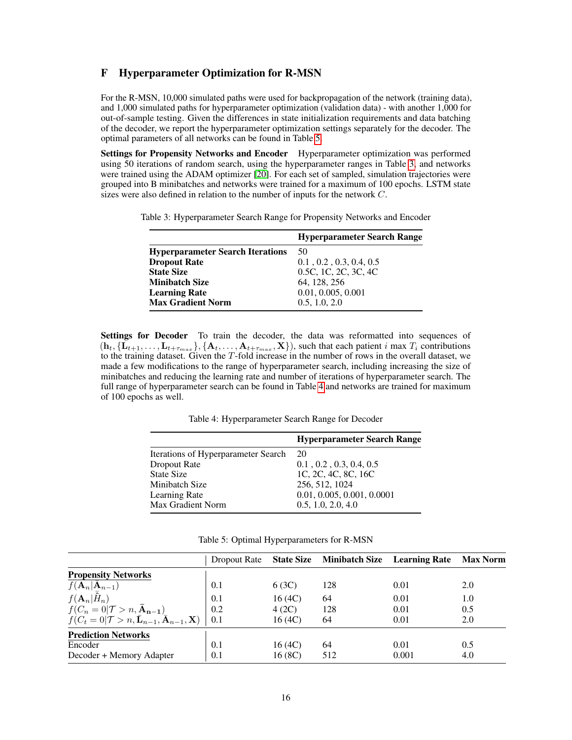## <span id="page-15-1"></span>F Hyperparameter Optimization for R-MSN

For the R-MSN, 10,000 simulated paths were used for backpropagation of the network (training data), and 1,000 simulated paths for hyperparameter optimization (validation data) - with another 1,000 for out-of-sample testing. Given the differences in state initialization requirements and data batching of the decoder, we report the hyperparameter optimization settings separately for the decoder. The optimal parameters of all networks can be found in Table [5.](#page-15-2)

Settings for Propensity Networks and Encoder Hyperparameter optimization was performed using 50 iterations of random search, using the hyperparameter ranges in Table [3,](#page-15-3) and networks were trained using the ADAM optimizer [\[20\]](#page-9-21). For each set of sampled, simulation trajectories were grouped into B minibatches and networks were trained for a maximum of 100 epochs. LSTM state sizes were also defined in relation to the number of inputs for the network C.

<span id="page-15-3"></span>Table 3: Hyperparameter Search Range for Propensity Networks and Encoder

|                                         | <b>Hyperparameter Search Range</b>    |
|-----------------------------------------|---------------------------------------|
| <b>Hyperparameter Search Iterations</b> | 50                                    |
| <b>Dropout Rate</b>                     | $0.1$ , $0.2$ , $0.3$ , $0.4$ , $0.5$ |
| <b>State Size</b>                       | 0.5C, 1C, 2C, 3C, 4C                  |
| <b>Minibatch Size</b>                   | 64, 128, 256                          |
| <b>Learning Rate</b>                    | 0.01, 0.005, 0.001                    |
| <b>Max Gradient Norm</b>                | 0.5, 1.0, 2.0                         |

Settings for Decoder To train the decoder, the data was reformatted into sequences of  $(h_t, \{L_{t+1}, \ldots, L_{t+\tau_{max}}\}, \{A_t, \ldots, A_{t+\tau_{max}}, X\})$ , such that each patient i max  $T_i$  contributions to the training dataset. Given the  $T$ -fold increase in the number of rows in the overall dataset, we made a few modifications to the range of hyperparameter search, including increasing the size of minibatches and reducing the learning rate and number of iterations of hyperparameter search. The full range of hyperparameter search can be found in Table [4](#page-15-4) and networks are trained for maximum of 100 epochs as well.

Table 4: Hyperparameter Search Range for Decoder

<span id="page-15-4"></span>

|                                     | <b>Hyperparameter Search Range</b>    |
|-------------------------------------|---------------------------------------|
| Iterations of Hyperparameter Search | <b>20</b>                             |
| Dropout Rate                        | $0.1$ , $0.2$ , $0.3$ , $0.4$ , $0.5$ |
| <b>State Size</b>                   | 1C, 2C, 4C, 8C, 16C                   |
| Minibatch Size                      | 256, 512, 1024                        |
| Learning Rate                       | 0.01, 0.005, 0.001, 0.0001            |
| Max Gradient Norm                   | 0.5, 1.0, 2.0, 4.0                    |

|  |  | Table 5: Optimal Hyperparameters for R-MSN |  |  |
|--|--|--------------------------------------------|--|--|
|--|--|--------------------------------------------|--|--|

<span id="page-15-2"></span><span id="page-15-0"></span>

|                                                                                   | Dropout Rate |        | <b>State Size Minibatch Size Learning Rate</b> |       | <b>Max Norm</b> |
|-----------------------------------------------------------------------------------|--------------|--------|------------------------------------------------|-------|-----------------|
| <b>Propensity Networks</b>                                                        |              |        |                                                |       |                 |
| $f(\mathbf{A}_n \bar{\mathbf{A}}_{n-1})$                                          | 0.1          | 6(3C)  | 128                                            | 0.01  | 2.0             |
| $f(\mathbf{A}_n H_n)$                                                             | 0.1          | 16(4C) | 64                                             | 0.01  | 1.0             |
| $f(C_n = 0   \mathcal{T} > n, \overline{\mathbf{A}}_{n-1})$                       | 0.2          | 4(2C)  | 128                                            | 0.01  | 0.5             |
| $f(C_t=0 \mathcal{T}>n,\bar{\mathbf{L}}_{n-1},\bar{\mathbf{A}}_{n-1},\mathbf{X})$ | 0.1          | 16(4C) | 64                                             | 0.01  | 2.0             |
| <b>Prediction Networks</b>                                                        |              |        |                                                |       |                 |
| Encoder                                                                           | 0.1          | 16(4C) | 64                                             | 0.01  | 0.5             |
| Decoder + Memory Adapter                                                          | 0.1          | 16(8C) | 512                                            | 0.001 | 4.0             |